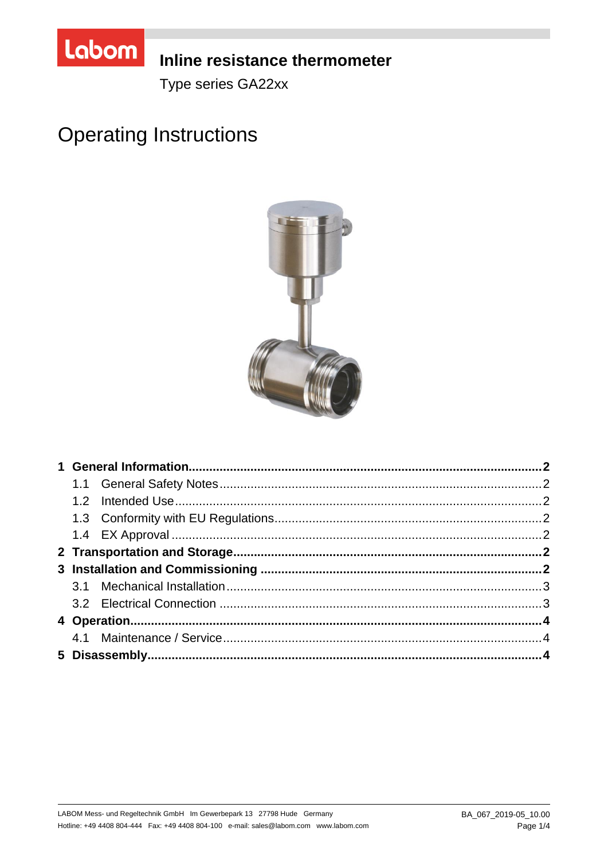

# **Inline resistance thermometer**

Type series GA22xx

# **Operating Instructions**

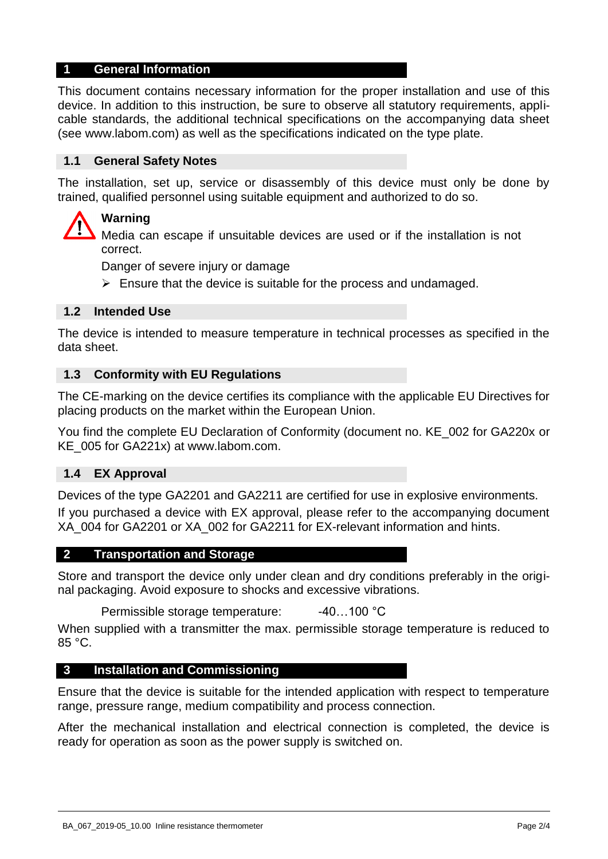## **1 General Information**

This document contains necessary information for the proper installation and use of this device. In addition to this instruction, be sure to observe all statutory requirements, applicable standards, the additional technical specifications on the accompanying data sheet (see www.labom.com) as well as the specifications indicated on the type plate.

#### **1.1 General Safety Notes**

The installation, set up, service or disassembly of this device must only be done by trained, qualified personnel using suitable equipment and authorized to do so.

# **Warning**

Media can escape if unsuitable devices are used or if the installation is not correct.

Danger of severe injury or damage

 $\triangleright$  Ensure that the device is suitable for the process and undamaged.

#### **1.2 Intended Use**

The device is intended to measure temperature in technical processes as specified in the data sheet.

#### **1.3 Conformity with EU Regulations**

The CE-marking on the device certifies its compliance with the applicable EU Directives for placing products on the market within the European Union.

You find the complete EU Declaration of Conformity (document no. KE\_002 for GA220x or KE\_005 for GA221x) at www.labom.com.

#### **1.4 EX Approval**

Devices of the type GA2201 and GA2211 are certified for use in explosive environments.

If you purchased a device with EX approval, please refer to the accompanying document XA\_004 for GA2201 or XA\_002 for GA2211 for EX-relevant information and hints.

#### **2 Transportation and Storage**

Store and transport the device only under clean and dry conditions preferably in the original packaging. Avoid exposure to shocks and excessive vibrations.

Permissible storage temperature: -40...100 °C

When supplied with a transmitter the max. permissible storage temperature is reduced to 85 °C.

#### **3 Installation and Commissioning**

Ensure that the device is suitable for the intended application with respect to temperature range, pressure range, medium compatibility and process connection.

After the mechanical installation and electrical connection is completed, the device is ready for operation as soon as the power supply is switched on.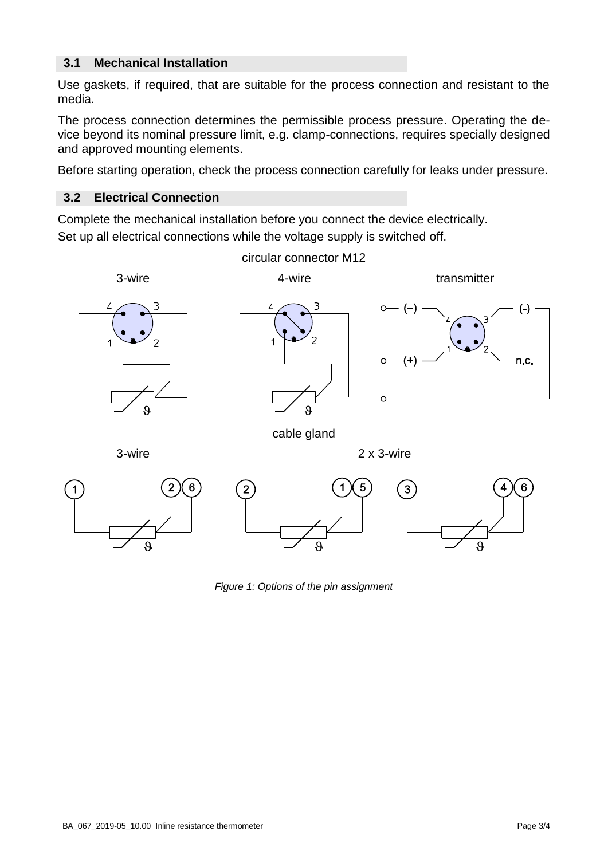# **3.1 Mechanical Installation**

Use gaskets, if required, that are suitable for the process connection and resistant to the media.

The process connection determines the permissible process pressure. Operating the device beyond its nominal pressure limit, e.g. clamp-connections, requires specially designed and approved mounting elements.

Before starting operation, check the process connection carefully for leaks under pressure.

## **3.2 Electrical Connection**

Complete the mechanical installation before you connect the device electrically. Set up all electrical connections while the voltage supply is switched off.



*Figure 1: Options of the pin assignment*